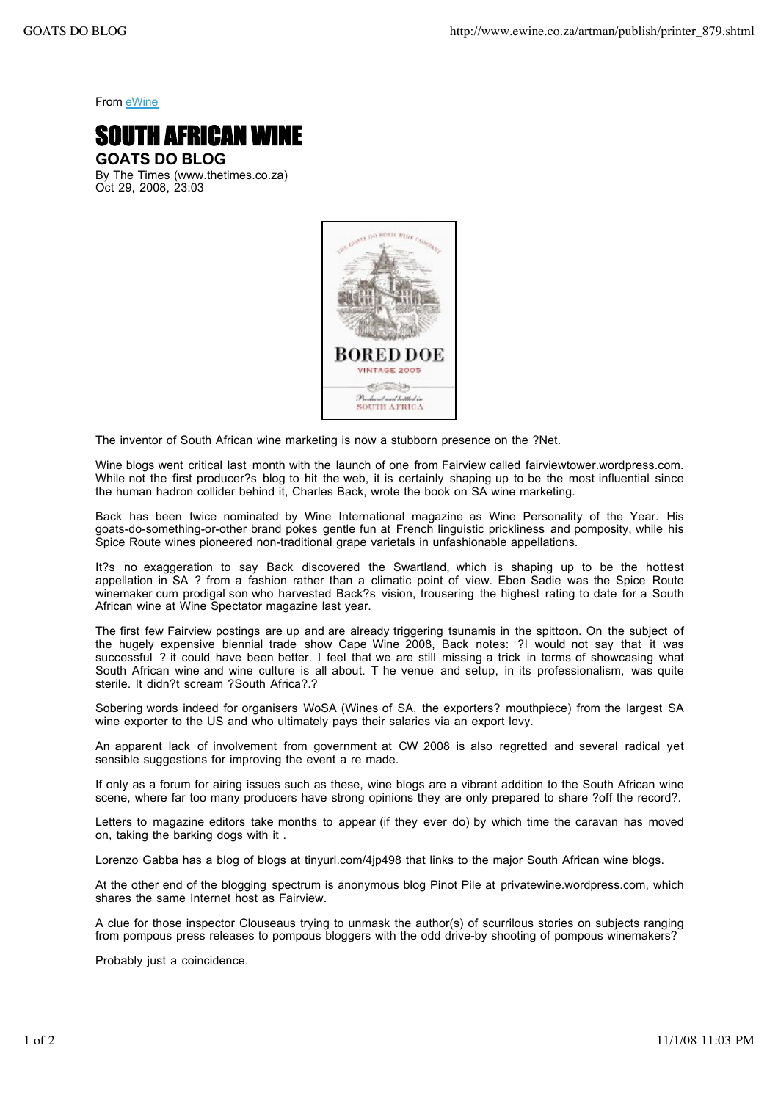From eWine



By The Times (www.thetimes.co.za) Oct 29, 2008, 23:03



The inventor of South African wine marketing is now a stubborn presence on the ?Net.

Wine blogs went critical last month with the launch of one from Fairview called fairviewtower.wordpress.com. While not the first producer?s blog to hit the web, it is certainly shaping up to be the most influential since the human hadron collider behind it, Charles Back, wrote the book on SA wine marketing.

Back has been twice nominated by Wine International magazine as Wine Personality of the Year. His goats-do-something-or-other brand pokes gentle fun at French linguistic prickliness and pomposity, while his Spice Route wines pioneered non-traditional grape varietals in unfashionable appellations.

It?s no exaggeration to say Back discovered the Swartland, which is shaping up to be the hottest appellation in SA ? from a fashion rather than a climatic point of view. Eben Sadie was the Spice Route winemaker cum prodigal son who harvested Back?s vision, trousering the highest rating to date for a South African wine at Wine Spectator magazine last year.

The first few Fairview postings are up and are already triggering tsunamis in the spittoon. On the subject of the hugely expensive biennial trade show Cape Wine 2008, Back notes: ?I would not say that it was successful ? it could have been better. I feel that we are still missing a trick in terms of showcasing what South African wine and wine culture is all about. T he venue and setup, in its professionalism, was quite sterile. It didn?t scream ?South Africa?.?

Sobering words indeed for organisers WoSA (Wines of SA, the exporters? mouthpiece) from the largest SA wine exporter to the US and who ultimately pays their salaries via an export levy.

An apparent lack of involvement from government at CW 2008 is also regretted and several radical yet sensible suggestions for improving the event a re made.

If only as a forum for airing issues such as these, wine blogs are a vibrant addition to the South African wine scene, where far too many producers have strong opinions they are only prepared to share ?off the record?.

Letters to magazine editors take months to appear (if they ever do) by which time the caravan has moved on, taking the barking dogs with it .

Lorenzo Gabba has a blog of blogs at tinyurl.com/4jp498 that links to the major South African wine blogs.

At the other end of the blogging spectrum is anonymous blog Pinot Pile at privatewine.wordpress.com, which shares the same Internet host as Fairview.

A clue for those inspector Clouseaus trying to unmask the author(s) of scurrilous stories on subjects ranging from pompous press releases to pompous bloggers with the odd drive-by shooting of pompous winemakers?

Probably just a coincidence.